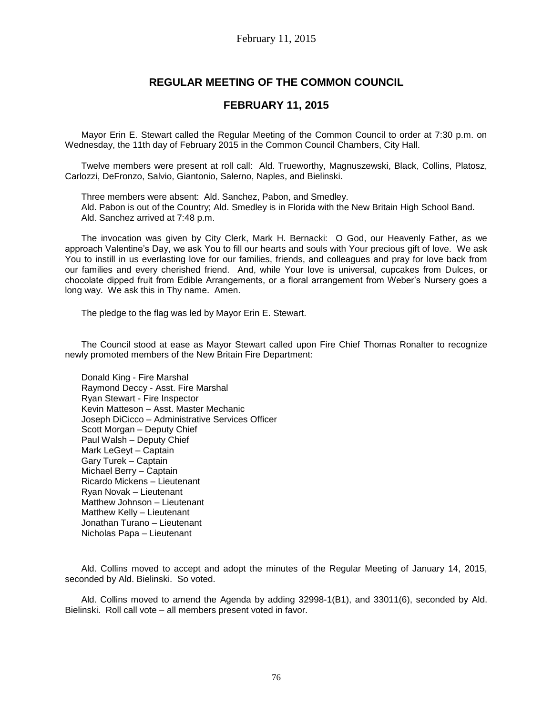# **REGULAR MEETING OF THE COMMON COUNCIL**

## **FEBRUARY 11, 2015**

Mayor Erin E. Stewart called the Regular Meeting of the Common Council to order at 7:30 p.m. on Wednesday, the 11th day of February 2015 in the Common Council Chambers, City Hall.

Twelve members were present at roll call: Ald. Trueworthy, Magnuszewski, Black, Collins, Platosz, Carlozzi, DeFronzo, Salvio, Giantonio, Salerno, Naples, and Bielinski.

Three members were absent: Ald. Sanchez, Pabon, and Smedley. Ald. Pabon is out of the Country; Ald. Smedley is in Florida with the New Britain High School Band. Ald. Sanchez arrived at 7:48 p.m.

The invocation was given by City Clerk, Mark H. Bernacki: O God, our Heavenly Father, as we approach Valentine's Day, we ask You to fill our hearts and souls with Your precious gift of love. We ask You to instill in us everlasting love for our families, friends, and colleagues and pray for love back from our families and every cherished friend. And, while Your love is universal, cupcakes from Dulces, or chocolate dipped fruit from Edible Arrangements, or a floral arrangement from Weber's Nursery goes a long way. We ask this in Thy name. Amen.

The pledge to the flag was led by Mayor Erin E. Stewart.

The Council stood at ease as Mayor Stewart called upon Fire Chief Thomas Ronalter to recognize newly promoted members of the New Britain Fire Department:

Donald King - Fire Marshal Raymond Deccy - Asst. Fire Marshal Ryan Stewart - Fire Inspector Kevin Matteson – Asst. Master Mechanic Joseph DiCicco – Administrative Services Officer Scott Morgan – Deputy Chief Paul Walsh – Deputy Chief Mark LeGeyt – Captain Gary Turek – Captain Michael Berry – Captain Ricardo Mickens – Lieutenant Ryan Novak – Lieutenant Matthew Johnson – Lieutenant Matthew Kelly – Lieutenant Jonathan Turano – Lieutenant Nicholas Papa – Lieutenant

Ald. Collins moved to accept and adopt the minutes of the Regular Meeting of January 14, 2015, seconded by Ald. Bielinski. So voted.

Ald. Collins moved to amend the Agenda by adding 32998-1(B1), and 33011(6), seconded by Ald. Bielinski. Roll call vote – all members present voted in favor.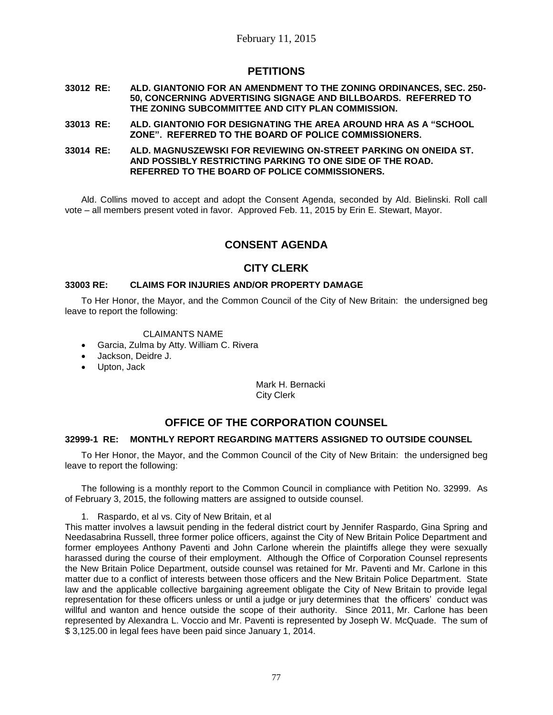# **PETITIONS**

- **33012 RE: ALD. GIANTONIO FOR AN AMENDMENT TO THE ZONING ORDINANCES, SEC. 250- 50, CONCERNING ADVERTISING SIGNAGE AND BILLBOARDS. REFERRED TO THE ZONING SUBCOMMITTEE AND CITY PLAN COMMISSION.**
- **33013 RE: ALD. GIANTONIO FOR DESIGNATING THE AREA AROUND HRA AS A "SCHOOL ZONE". REFERRED TO THE BOARD OF POLICE COMMISSIONERS.**
- **33014 RE: ALD. MAGNUSZEWSKI FOR REVIEWING ON-STREET PARKING ON ONEIDA ST. AND POSSIBLY RESTRICTING PARKING TO ONE SIDE OF THE ROAD. REFERRED TO THE BOARD OF POLICE COMMISSIONERS.**

Ald. Collins moved to accept and adopt the Consent Agenda, seconded by Ald. Bielinski. Roll call vote – all members present voted in favor. Approved Feb. 11, 2015 by Erin E. Stewart, Mayor.

# **CONSENT AGENDA**

# **CITY CLERK**

## **33003 RE: CLAIMS FOR INJURIES AND/OR PROPERTY DAMAGE**

To Her Honor, the Mayor, and the Common Council of the City of New Britain: the undersigned beg leave to report the following:

## CLAIMANTS NAME

- Garcia, Zulma by Atty. William C. Rivera
- Jackson, Deidre J.
- Upton, Jack

Mark H. Bernacki City Clerk

# **OFFICE OF THE CORPORATION COUNSEL**

## **32999-1 RE: MONTHLY REPORT REGARDING MATTERS ASSIGNED TO OUTSIDE COUNSEL**

To Her Honor, the Mayor, and the Common Council of the City of New Britain: the undersigned beg leave to report the following:

The following is a monthly report to the Common Council in compliance with Petition No. 32999. As of February 3, 2015, the following matters are assigned to outside counsel.

1. Raspardo, et al vs. City of New Britain, et al

This matter involves a lawsuit pending in the federal district court by Jennifer Raspardo, Gina Spring and Needasabrina Russell, three former police officers, against the City of New Britain Police Department and former employees Anthony Paventi and John Carlone wherein the plaintiffs allege they were sexually harassed during the course of their employment. Although the Office of Corporation Counsel represents the New Britain Police Department, outside counsel was retained for Mr. Paventi and Mr. Carlone in this matter due to a conflict of interests between those officers and the New Britain Police Department. State law and the applicable collective bargaining agreement obligate the City of New Britain to provide legal representation for these officers unless or until a judge or jury determines that the officers' conduct was willful and wanton and hence outside the scope of their authority. Since 2011, Mr. Carlone has been represented by Alexandra L. Voccio and Mr. Paventi is represented by Joseph W. McQuade. The sum of \$ 3,125.00 in legal fees have been paid since January 1, 2014.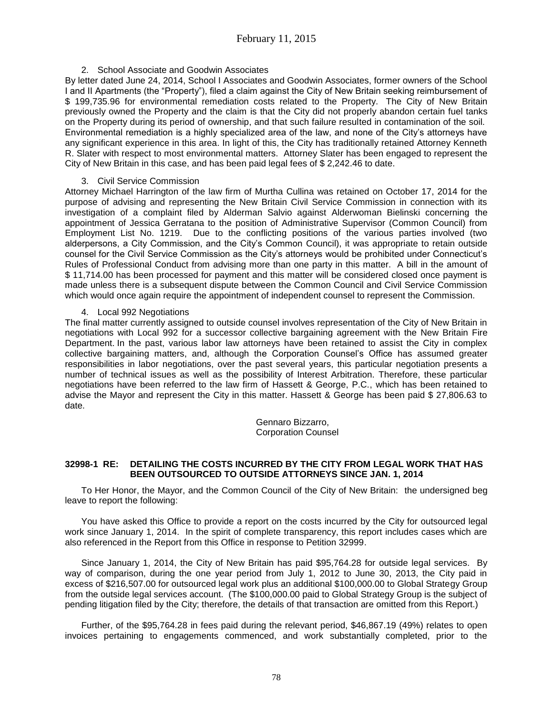## 2. School Associate and Goodwin Associates

By letter dated June 24, 2014, School I Associates and Goodwin Associates, former owners of the School I and II Apartments (the "Property"), filed a claim against the City of New Britain seeking reimbursement of \$ 199,735.96 for environmental remediation costs related to the Property. The City of New Britain previously owned the Property and the claim is that the City did not properly abandon certain fuel tanks on the Property during its period of ownership, and that such failure resulted in contamination of the soil. Environmental remediation is a highly specialized area of the law, and none of the City's attorneys have any significant experience in this area. In light of this, the City has traditionally retained Attorney Kenneth R. Slater with respect to most environmental matters. Attorney Slater has been engaged to represent the City of New Britain in this case, and has been paid legal fees of \$ 2,242.46 to date.

## 3. Civil Service Commission

Attorney Michael Harrington of the law firm of Murtha Cullina was retained on October 17, 2014 for the purpose of advising and representing the New Britain Civil Service Commission in connection with its investigation of a complaint filed by Alderman Salvio against Alderwoman Bielinski concerning the appointment of Jessica Gerratana to the position of Administrative Supervisor (Common Council) from Employment List No. 1219. Due to the conflicting positions of the various parties involved (two alderpersons, a City Commission, and the City's Common Council), it was appropriate to retain outside counsel for the Civil Service Commission as the City's attorneys would be prohibited under Connecticut's Rules of Professional Conduct from advising more than one party in this matter. A bill in the amount of \$ 11,714.00 has been processed for payment and this matter will be considered closed once payment is made unless there is a subsequent dispute between the Common Council and Civil Service Commission which would once again require the appointment of independent counsel to represent the Commission.

## 4. Local 992 Negotiations

The final matter currently assigned to outside counsel involves representation of the City of New Britain in negotiations with Local 992 for a successor collective bargaining agreement with the New Britain Fire Department. In the past, various labor law attorneys have been retained to assist the City in complex collective bargaining matters, and, although the Corporation Counsel's Office has assumed greater responsibilities in labor negotiations, over the past several years, this particular negotiation presents a number of technical issues as well as the possibility of Interest Arbitration. Therefore, these particular negotiations have been referred to the law firm of Hassett & George, P.C., which has been retained to advise the Mayor and represent the City in this matter. Hassett & George has been paid \$ 27,806.63 to date.

> Gennaro Bizzarro, Corporation Counsel

## **32998-1 RE: DETAILING THE COSTS INCURRED BY THE CITY FROM LEGAL WORK THAT HAS BEEN OUTSOURCED TO OUTSIDE ATTORNEYS SINCE JAN. 1, 2014**

To Her Honor, the Mayor, and the Common Council of the City of New Britain: the undersigned beg leave to report the following:

You have asked this Office to provide a report on the costs incurred by the City for outsourced legal work since January 1, 2014. In the spirit of complete transparency, this report includes cases which are also referenced in the Report from this Office in response to Petition 32999.

Since January 1, 2014, the City of New Britain has paid \$95,764.28 for outside legal services. By way of comparison, during the one year period from July 1, 2012 to June 30, 2013, the City paid in excess of \$216,507.00 for outsourced legal work plus an additional \$100,000.00 to Global Strategy Group from the outside legal services account. (The \$100,000.00 paid to Global Strategy Group is the subject of pending litigation filed by the City; therefore, the details of that transaction are omitted from this Report.)

Further, of the \$95,764.28 in fees paid during the relevant period, \$46,867.19 (49%) relates to open invoices pertaining to engagements commenced, and work substantially completed, prior to the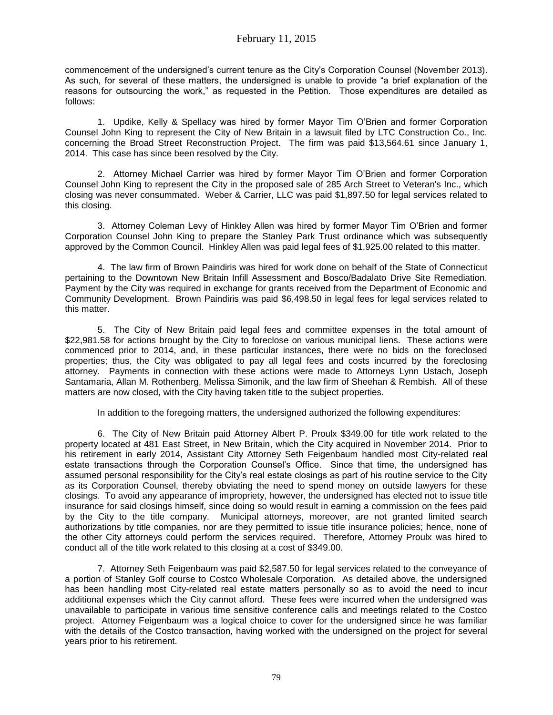commencement of the undersigned's current tenure as the City's Corporation Counsel (November 2013). As such, for several of these matters, the undersigned is unable to provide "a brief explanation of the reasons for outsourcing the work," as requested in the Petition. Those expenditures are detailed as follows:

1. Updike, Kelly & Spellacy was hired by former Mayor Tim O'Brien and former Corporation Counsel John King to represent the City of New Britain in a lawsuit filed by LTC Construction Co., Inc. concerning the Broad Street Reconstruction Project. The firm was paid \$13,564.61 since January 1, 2014. This case has since been resolved by the City.

2. Attorney Michael Carrier was hired by former Mayor Tim O'Brien and former Corporation Counsel John King to represent the City in the proposed sale of 285 Arch Street to Veteran's Inc., which closing was never consummated. Weber & Carrier, LLC was paid \$1,897.50 for legal services related to this closing.

3. Attorney Coleman Levy of Hinkley Allen was hired by former Mayor Tim O'Brien and former Corporation Counsel John King to prepare the Stanley Park Trust ordinance which was subsequently approved by the Common Council. Hinkley Allen was paid legal fees of \$1,925.00 related to this matter.

4. The law firm of Brown Paindiris was hired for work done on behalf of the State of Connecticut pertaining to the Downtown New Britain Infill Assessment and Bosco/Badalato Drive Site Remediation. Payment by the City was required in exchange for grants received from the Department of Economic and Community Development. Brown Paindiris was paid \$6,498.50 in legal fees for legal services related to this matter.

5. The City of New Britain paid legal fees and committee expenses in the total amount of \$22,981.58 for actions brought by the City to foreclose on various municipal liens. These actions were commenced prior to 2014, and, in these particular instances, there were no bids on the foreclosed properties; thus, the City was obligated to pay all legal fees and costs incurred by the foreclosing attorney. Payments in connection with these actions were made to Attorneys Lynn Ustach, Joseph Santamaria, Allan M. Rothenberg, Melissa Simonik, and the law firm of Sheehan & Rembish. All of these matters are now closed, with the City having taken title to the subject properties.

In addition to the foregoing matters, the undersigned authorized the following expenditures:

6. The City of New Britain paid Attorney Albert P. Proulx \$349.00 for title work related to the property located at 481 East Street, in New Britain, which the City acquired in November 2014. Prior to his retirement in early 2014, Assistant City Attorney Seth Feigenbaum handled most City-related real estate transactions through the Corporation Counsel's Office. Since that time, the undersigned has assumed personal responsibility for the City's real estate closings as part of his routine service to the City as its Corporation Counsel, thereby obviating the need to spend money on outside lawyers for these closings. To avoid any appearance of impropriety, however, the undersigned has elected not to issue title insurance for said closings himself, since doing so would result in earning a commission on the fees paid by the City to the title company. Municipal attorneys, moreover, are not granted limited search authorizations by title companies, nor are they permitted to issue title insurance policies; hence, none of the other City attorneys could perform the services required. Therefore, Attorney Proulx was hired to conduct all of the title work related to this closing at a cost of \$349.00.

7. Attorney Seth Feigenbaum was paid \$2,587.50 for legal services related to the conveyance of a portion of Stanley Golf course to Costco Wholesale Corporation. As detailed above, the undersigned has been handling most City-related real estate matters personally so as to avoid the need to incur additional expenses which the City cannot afford. These fees were incurred when the undersigned was unavailable to participate in various time sensitive conference calls and meetings related to the Costco project. Attorney Feigenbaum was a logical choice to cover for the undersigned since he was familiar with the details of the Costco transaction, having worked with the undersigned on the project for several years prior to his retirement.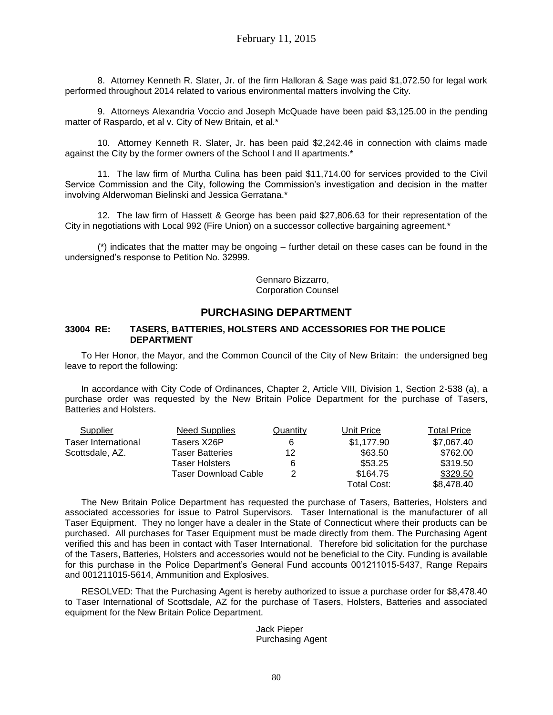8. Attorney Kenneth R. Slater, Jr. of the firm Halloran & Sage was paid \$1,072.50 for legal work performed throughout 2014 related to various environmental matters involving the City.

9. Attorneys Alexandria Voccio and Joseph McQuade have been paid \$3,125.00 in the pending matter of Raspardo, et al v. City of New Britain, et al.\*

10. Attorney Kenneth R. Slater, Jr. has been paid \$2,242.46 in connection with claims made against the City by the former owners of the School I and II apartments.\*

11. The law firm of Murtha Culina has been paid \$11,714.00 for services provided to the Civil Service Commission and the City, following the Commission's investigation and decision in the matter involving Alderwoman Bielinski and Jessica Gerratana.\*

12. The law firm of Hassett & George has been paid \$27,806.63 for their representation of the City in negotiations with Local 992 (Fire Union) on a successor collective bargaining agreement.\*

(\*) indicates that the matter may be ongoing – further detail on these cases can be found in the undersigned's response to Petition No. 32999.

> Gennaro Bizzarro, Corporation Counsel

## **PURCHASING DEPARTMENT**

#### **33004 RE: TASERS, BATTERIES, HOLSTERS AND ACCESSORIES FOR THE POLICE DEPARTMENT**

To Her Honor, the Mayor, and the Common Council of the City of New Britain: the undersigned beg leave to report the following:

In accordance with City Code of Ordinances, Chapter 2, Article VIII, Division 1, Section 2-538 (a), a purchase order was requested by the New Britain Police Department for the purchase of Tasers, Batteries and Holsters.

| Supplier                   | <b>Need Supplies</b>        | Quantity | Unit Price  | Total Price |
|----------------------------|-----------------------------|----------|-------------|-------------|
| <b>Taser International</b> | Tasers X26P                 |          | \$1,177.90  | \$7,067.40  |
| Scottsdale, AZ.            | <b>Taser Batteries</b>      | 12       | \$63.50     | \$762.00    |
|                            | Taser Holsters              | 6        | \$53.25     | \$319.50    |
|                            | <b>Taser Download Cable</b> | 2        | \$164.75    | \$329.50    |
|                            |                             |          | Total Cost: | \$8,478.40  |

The New Britain Police Department has requested the purchase of Tasers, Batteries, Holsters and associated accessories for issue to Patrol Supervisors. Taser International is the manufacturer of all Taser Equipment. They no longer have a dealer in the State of Connecticut where their products can be purchased. All purchases for Taser Equipment must be made directly from them. The Purchasing Agent verified this and has been in contact with Taser International. Therefore bid solicitation for the purchase of the Tasers, Batteries, Holsters and accessories would not be beneficial to the City. Funding is available for this purchase in the Police Department's General Fund accounts 001211015-5437, Range Repairs and 001211015-5614, Ammunition and Explosives.

RESOLVED: That the Purchasing Agent is hereby authorized to issue a purchase order for \$8,478.40 to Taser International of Scottsdale, AZ for the purchase of Tasers, Holsters, Batteries and associated equipment for the New Britain Police Department.

### Jack Pieper Purchasing Agent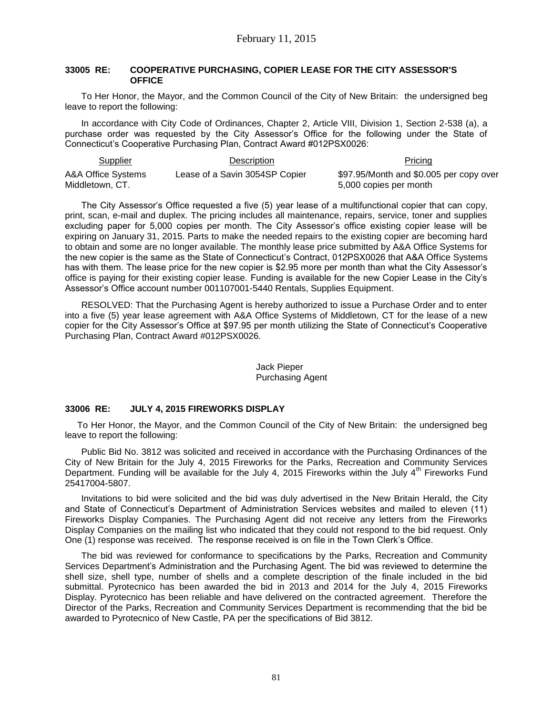#### **33005 RE: COOPERATIVE PURCHASING, COPIER LEASE FOR THE CITY ASSESSOR'S OFFICE**

To Her Honor, the Mayor, and the Common Council of the City of New Britain: the undersigned beg leave to report the following:

In accordance with City Code of Ordinances, Chapter 2, Article VIII, Division 1, Section 2-538 (a), a purchase order was requested by the City Assessor's Office for the following under the State of Connecticut's Cooperative Purchasing Plan, Contract Award #012PSX0026:

| <b>Supplier</b>    | Description                    | Pricing                                 |
|--------------------|--------------------------------|-----------------------------------------|
| A&A Office Systems | Lease of a Savin 3054SP Copier | \$97.95/Month and \$0.005 per copy over |
| Middletown, CT.    |                                | 5,000 copies per month                  |

The City Assessor's Office requested a five (5) year lease of a multifunctional copier that can copy, print, scan, e-mail and duplex. The pricing includes all maintenance, repairs, service, toner and supplies excluding paper for 5,000 copies per month. The City Assessor's office existing copier lease will be expiring on January 31, 2015. Parts to make the needed repairs to the existing copier are becoming hard to obtain and some are no longer available. The monthly lease price submitted by A&A Office Systems for the new copier is the same as the State of Connecticut's Contract, 012PSX0026 that A&A Office Systems has with them. The lease price for the new copier is \$2.95 more per month than what the City Assessor's office is paying for their existing copier lease. Funding is available for the new Copier Lease in the City's Assessor's Office account number 001107001-5440 Rentals, Supplies Equipment.

RESOLVED: That the Purchasing Agent is hereby authorized to issue a Purchase Order and to enter into a five (5) year lease agreement with A&A Office Systems of Middletown, CT for the lease of a new copier for the City Assessor's Office at \$97.95 per month utilizing the State of Connecticut's Cooperative Purchasing Plan, Contract Award #012PSX0026.

### Jack Pieper Purchasing Agent

### **33006 RE: JULY 4, 2015 FIREWORKS DISPLAY**

To Her Honor, the Mayor, and the Common Council of the City of New Britain: the undersigned beg leave to report the following:

Public Bid No. 3812 was solicited and received in accordance with the Purchasing Ordinances of the City of New Britain for the July 4, 2015 Fireworks for the Parks, Recreation and Community Services Department. Funding will be available for the July 4, 2015 Fireworks within the July  $4<sup>th</sup>$  Fireworks Fund 25417004-5807.

Invitations to bid were solicited and the bid was duly advertised in the New Britain Herald, the City and State of Connecticut's Department of Administration Services websites and mailed to eleven (11) Fireworks Display Companies. The Purchasing Agent did not receive any letters from the Fireworks Display Companies on the mailing list who indicated that they could not respond to the bid request. Only One (1) response was received. The response received is on file in the Town Clerk's Office.

The bid was reviewed for conformance to specifications by the Parks, Recreation and Community Services Department's Administration and the Purchasing Agent. The bid was reviewed to determine the shell size, shell type, number of shells and a complete description of the finale included in the bid submittal. Pyrotecnico has been awarded the bid in 2013 and 2014 for the July 4, 2015 Fireworks Display. Pyrotecnico has been reliable and have delivered on the contracted agreement. Therefore the Director of the Parks, Recreation and Community Services Department is recommending that the bid be awarded to Pyrotecnico of New Castle, PA per the specifications of Bid 3812.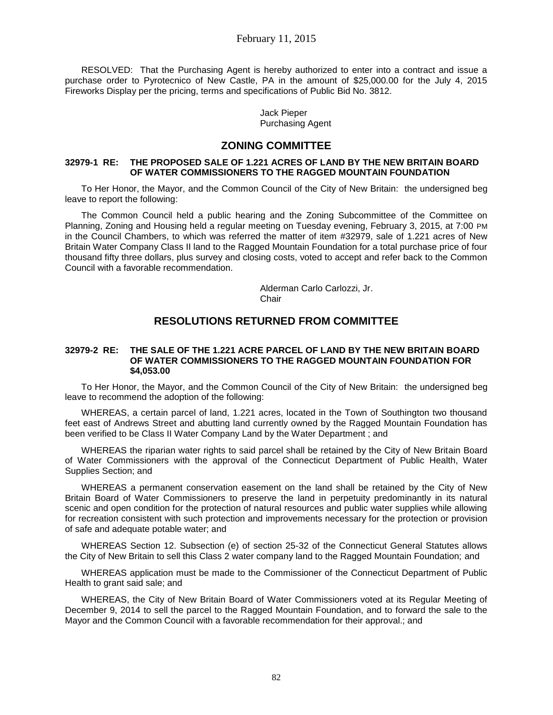## February 11, 2015

RESOLVED: That the Purchasing Agent is hereby authorized to enter into a contract and issue a purchase order to Pyrotecnico of New Castle, PA in the amount of \$25,000.00 for the July 4, 2015 Fireworks Display per the pricing, terms and specifications of Public Bid No. 3812.

> Jack Pieper Purchasing Agent

## **ZONING COMMITTEE**

#### **32979-1 RE: THE PROPOSED SALE OF 1.221 ACRES OF LAND BY THE NEW BRITAIN BOARD OF WATER COMMISSIONERS TO THE RAGGED MOUNTAIN FOUNDATION**

To Her Honor, the Mayor, and the Common Council of the City of New Britain: the undersigned beg leave to report the following:

The Common Council held a public hearing and the Zoning Subcommittee of the Committee on Planning, Zoning and Housing held a regular meeting on Tuesday evening, February 3, 2015, at 7:00 PM in the Council Chambers, to which was referred the matter of item #32979, sale of 1.221 acres of New Britain Water Company Class II land to the Ragged Mountain Foundation for a total purchase price of four thousand fifty three dollars, plus survey and closing costs, voted to accept and refer back to the Common Council with a favorable recommendation.

> Alderman Carlo Carlozzi, Jr. Chair

## **RESOLUTIONS RETURNED FROM COMMITTEE**

#### **32979-2 RE: THE SALE OF THE 1.221 ACRE PARCEL OF LAND BY THE NEW BRITAIN BOARD OF WATER COMMISSIONERS TO THE RAGGED MOUNTAIN FOUNDATION FOR \$4,053.00**

To Her Honor, the Mayor, and the Common Council of the City of New Britain: the undersigned beg leave to recommend the adoption of the following:

WHEREAS, a certain parcel of land, 1.221 acres, located in the Town of Southington two thousand feet east of Andrews Street and abutting land currently owned by the Ragged Mountain Foundation has been verified to be Class II Water Company Land by the Water Department ; and

WHEREAS the riparian water rights to said parcel shall be retained by the City of New Britain Board of Water Commissioners with the approval of the Connecticut Department of Public Health, Water Supplies Section; and

WHEREAS a permanent conservation easement on the land shall be retained by the City of New Britain Board of Water Commissioners to preserve the land in perpetuity predominantly in its natural scenic and open condition for the protection of natural resources and public water supplies while allowing for recreation consistent with such protection and improvements necessary for the protection or provision of safe and adequate potable water; and

WHEREAS Section 12. Subsection (e) of section 25-32 of the Connecticut General Statutes allows the City of New Britain to sell this Class 2 water company land to the Ragged Mountain Foundation; and

WHEREAS application must be made to the Commissioner of the Connecticut Department of Public Health to grant said sale; and

WHEREAS, the City of New Britain Board of Water Commissioners voted at its Regular Meeting of December 9, 2014 to sell the parcel to the Ragged Mountain Foundation, and to forward the sale to the Mayor and the Common Council with a favorable recommendation for their approval.; and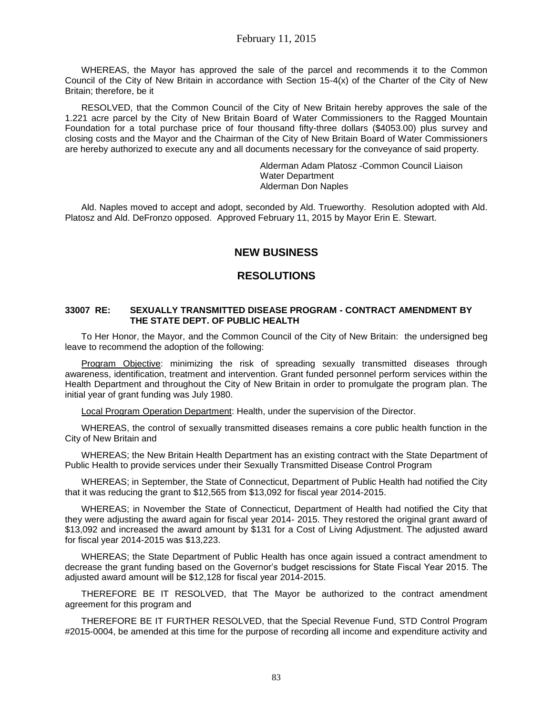WHEREAS, the Mayor has approved the sale of the parcel and recommends it to the Common Council of the City of New Britain in accordance with Section 15-4(x) of the Charter of the City of New Britain; therefore, be it

RESOLVED, that the Common Council of the City of New Britain hereby approves the sale of the 1.221 acre parcel by the City of New Britain Board of Water Commissioners to the Ragged Mountain Foundation for a total purchase price of four thousand fifty-three dollars (\$4053.00) plus survey and closing costs and the Mayor and the Chairman of the City of New Britain Board of Water Commissioners are hereby authorized to execute any and all documents necessary for the conveyance of said property.

> Alderman Adam Platosz -Common Council Liaison Water Department Alderman Don Naples

Ald. Naples moved to accept and adopt, seconded by Ald. Trueworthy. Resolution adopted with Ald. Platosz and Ald. DeFronzo opposed. Approved February 11, 2015 by Mayor Erin E. Stewart.

# **NEW BUSINESS**

## **RESOLUTIONS**

### **33007 RE: SEXUALLY TRANSMITTED DISEASE PROGRAM - CONTRACT AMENDMENT BY THE STATE DEPT. OF PUBLIC HEALTH**

To Her Honor, the Mayor, and the Common Council of the City of New Britain: the undersigned beg leave to recommend the adoption of the following:

Program Objective: minimizing the risk of spreading sexually transmitted diseases through awareness, identification, treatment and intervention. Grant funded personnel perform services within the Health Department and throughout the City of New Britain in order to promulgate the program plan. The initial year of grant funding was July 1980.

Local Program Operation Department: Health, under the supervision of the Director.

WHEREAS, the control of sexually transmitted diseases remains a core public health function in the City of New Britain and

WHEREAS; the New Britain Health Department has an existing contract with the State Department of Public Health to provide services under their Sexually Transmitted Disease Control Program

WHEREAS; in September, the State of Connecticut, Department of Public Health had notified the City that it was reducing the grant to \$12,565 from \$13,092 for fiscal year 2014-2015.

WHEREAS; in November the State of Connecticut, Department of Health had notified the City that they were adjusting the award again for fiscal year 2014- 2015. They restored the original grant award of \$13,092 and increased the award amount by \$131 for a Cost of Living Adjustment. The adjusted award for fiscal year 2014-2015 was \$13,223.

WHEREAS; the State Department of Public Health has once again issued a contract amendment to decrease the grant funding based on the Governor's budget rescissions for State Fiscal Year 2015. The adjusted award amount will be \$12,128 for fiscal year 2014-2015.

THEREFORE BE IT RESOLVED, that The Mayor be authorized to the contract amendment agreement for this program and

THEREFORE BE IT FURTHER RESOLVED, that the Special Revenue Fund, STD Control Program #2015-0004, be amended at this time for the purpose of recording all income and expenditure activity and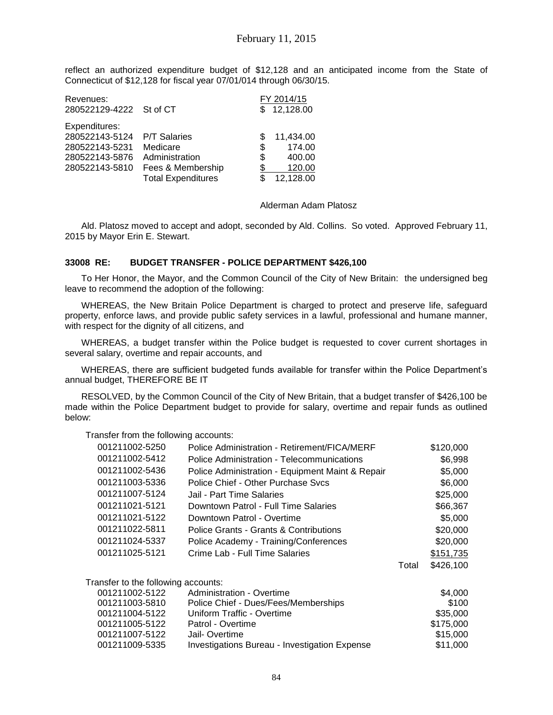reflect an authorized expenditure budget of \$12,128 and an anticipated income from the State of Connecticut of \$12,128 for fiscal year 07/01/014 through 06/30/15.

| Revenues:<br>280522129-4222 St of CT |                           | FY 2014/15<br>12,128.00 |
|--------------------------------------|---------------------------|-------------------------|
| Expenditures:                        |                           |                         |
| 280522143-5124                       | <b>P/T Salaries</b>       | 11,434.00               |
| 280522143-5231                       | Medicare                  | \$<br>174.00            |
| 280522143-5876                       | Administration            | \$<br>400.00            |
| 280522143-5810                       | Fees & Membership         | 120.00                  |
|                                      | <b>Total Expenditures</b> | 12,128.00               |

#### Alderman Adam Platosz

Ald. Platosz moved to accept and adopt, seconded by Ald. Collins. So voted. Approved February 11, 2015 by Mayor Erin E. Stewart.

#### **33008 RE: BUDGET TRANSFER - POLICE DEPARTMENT \$426,100**

To Her Honor, the Mayor, and the Common Council of the City of New Britain: the undersigned beg leave to recommend the adoption of the following:

WHEREAS, the New Britain Police Department is charged to protect and preserve life, safeguard property, enforce laws, and provide public safety services in a lawful, professional and humane manner, with respect for the dignity of all citizens, and

WHEREAS, a budget transfer within the Police budget is requested to cover current shortages in several salary, overtime and repair accounts, and

WHEREAS, there are sufficient budgeted funds available for transfer within the Police Department's annual budget, THEREFORE BE IT

RESOLVED, by the Common Council of the City of New Britain, that a budget transfer of \$426,100 be made within the Police Department budget to provide for salary, overtime and repair funds as outlined below:

Transfer from the following accounts:

| 001211002-5250                      | Police Administration - Retirement/FICA/MERF     |       | \$120,000 |
|-------------------------------------|--------------------------------------------------|-------|-----------|
| 001211002-5412                      | Police Administration - Telecommunications       |       | \$6,998   |
| 001211002-5436                      | Police Administration - Equipment Maint & Repair |       | \$5,000   |
| 001211003-5336                      | Police Chief - Other Purchase Sycs               |       | \$6,000   |
| 001211007-5124                      | Jail - Part Time Salaries                        |       | \$25,000  |
| 001211021-5121                      | Downtown Patrol - Full Time Salaries             |       | \$66,367  |
| 001211021-5122                      | Downtown Patrol - Overtime                       |       | \$5,000   |
| 001211022-5811                      | Police Grants - Grants & Contributions           |       | \$20,000  |
| 001211024-5337                      | Police Academy - Training/Conferences            |       | \$20,000  |
| 001211025-5121                      | Crime Lab - Full Time Salaries                   |       | \$151,735 |
|                                     |                                                  | Total | \$426,100 |
| Transfer to the following accounts: |                                                  |       |           |
| 001211002-5122                      | Administration - Overtime                        |       | \$4,000   |
| 001211003-5810                      | Police Chief - Dues/Fees/Memberships             |       | \$100     |
| 001211004-5122                      | Uniform Traffic - Overtime                       |       | \$35,000  |
| 001211005-5122                      | Patrol - Overtime                                |       | \$175,000 |
| 001211007-5122                      | Jail-Overtime                                    |       | \$15,000  |
| 001211009-5335                      | Investigations Bureau - Investigation Expense    |       | \$11,000  |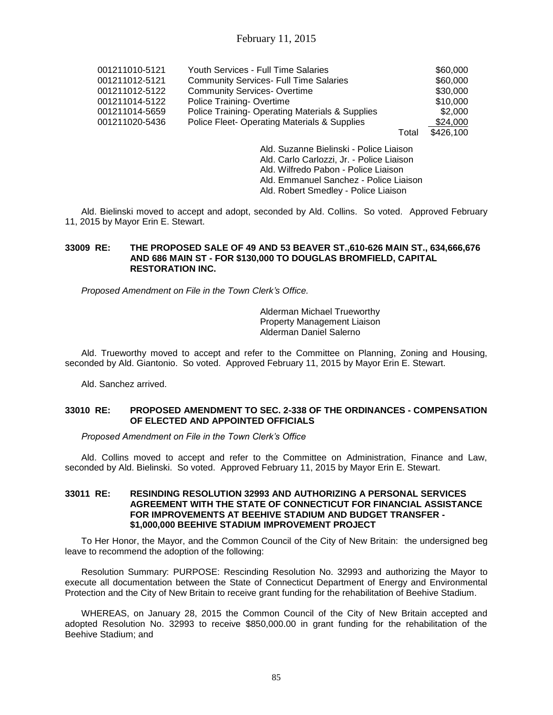| 001211010-5121 | <b>Youth Services - Full Time Salaries</b>                                                                |       | \$60,000  |
|----------------|-----------------------------------------------------------------------------------------------------------|-------|-----------|
| 001211012-5121 | <b>Community Services- Full Time Salaries</b>                                                             |       | \$60,000  |
| 001211012-5122 | <b>Community Services-Overtime</b>                                                                        |       | \$30,000  |
| 001211014-5122 | Police Training-Overtime                                                                                  |       | \$10,000  |
| 001211014-5659 | Police Training-Operating Materials & Supplies                                                            |       | \$2,000   |
| 001211020-5436 | Police Fleet-Operating Materials & Supplies                                                               |       | \$24,000  |
|                |                                                                                                           | Total | \$426,100 |
|                | $\mathbf{A}$ . The contract of $\mathbf{A}$ . The contract of $\mathbf{A}$ . The contract of $\mathbf{A}$ |       |           |

Ald. Suzanne Bielinski - Police Liaison Ald. Carlo Carlozzi, Jr. - Police Liaison Ald. Wilfredo Pabon - Police Liaison Ald. Emmanuel Sanchez - Police Liaison Ald. Robert Smedley - Police Liaison

Ald. Bielinski moved to accept and adopt, seconded by Ald. Collins. So voted. Approved February 11, 2015 by Mayor Erin E. Stewart.

### **33009 RE: THE PROPOSED SALE OF 49 AND 53 BEAVER ST.,610-626 MAIN ST., 634,666,676 AND 686 MAIN ST - FOR \$130,000 TO DOUGLAS BROMFIELD, CAPITAL RESTORATION INC.**

*Proposed Amendment on File in the Town Clerk's Office.*

Alderman Michael Trueworthy Property Management Liaison Alderman Daniel Salerno

Ald. Trueworthy moved to accept and refer to the Committee on Planning, Zoning and Housing, seconded by Ald. Giantonio. So voted. Approved February 11, 2015 by Mayor Erin E. Stewart.

Ald. Sanchez arrived.

### **33010 RE: PROPOSED AMENDMENT TO SEC. 2-338 OF THE ORDINANCES - COMPENSATION OF ELECTED AND APPOINTED OFFICIALS**

*Proposed Amendment on File in the Town Clerk's Office*

Ald. Collins moved to accept and refer to the Committee on Administration, Finance and Law, seconded by Ald. Bielinski. So voted. Approved February 11, 2015 by Mayor Erin E. Stewart.

#### **33011 RE: RESINDING RESOLUTION 32993 AND AUTHORIZING A PERSONAL SERVICES AGREEMENT WITH THE STATE OF CONNECTICUT FOR FINANCIAL ASSISTANCE FOR IMPROVEMENTS AT BEEHIVE STADIUM AND BUDGET TRANSFER - \$1,000,000 BEEHIVE STADIUM IMPROVEMENT PROJECT**

To Her Honor, the Mayor, and the Common Council of the City of New Britain: the undersigned beg leave to recommend the adoption of the following:

Resolution Summary: PURPOSE: Rescinding Resolution No. 32993 and authorizing the Mayor to execute all documentation between the State of Connecticut Department of Energy and Environmental Protection and the City of New Britain to receive grant funding for the rehabilitation of Beehive Stadium.

WHEREAS, on January 28, 2015 the Common Council of the City of New Britain accepted and adopted Resolution No. 32993 to receive \$850,000.00 in grant funding for the rehabilitation of the Beehive Stadium; and